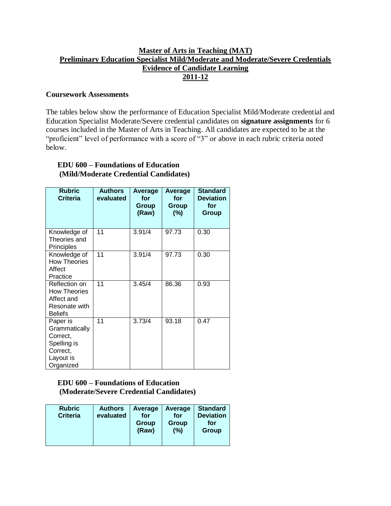### **Master of Arts in Teaching (MAT) Preliminary Education Specialist Mild/Moderate and Moderate/Severe Credentials Evidence of Candidate Learning 2011-12**

#### **Coursework Assessments**

The tables below show the performance of Education Specialist Mild/Moderate credential and Education Specialist Moderate/Severe credential candidates on **signature assignments** for 6 courses included in the Master of Arts in Teaching. All candidates are expected to be at the "proficient" level of performance with a score of "3" or above in each rubric criteria noted below.

#### **EDU 600 – Foundations of Education (Mild/Moderate Credential Candidates)**

| <b>Rubric</b><br><b>Criteria</b>                                                           | <b>Authors</b><br>evaluated | Average<br>for<br>Group<br>(Raw) | Average<br>for<br>Group<br>(%) | <b>Standard</b><br><b>Deviation</b><br>for<br>Group |
|--------------------------------------------------------------------------------------------|-----------------------------|----------------------------------|--------------------------------|-----------------------------------------------------|
| Knowledge of<br>Theories and<br>Principles                                                 | 11                          | 3.91/4                           | 97.73                          | 0.30                                                |
| Knowledge of<br><b>How Theories</b><br>Affect<br>Practice                                  | 11                          | 3.91/4                           | 97.73                          | 0.30                                                |
| Reflection on<br><b>How Theories</b><br>Affect and<br>Resonate with<br><b>Beliefs</b>      | 11                          | 3.45/4                           | 86.36                          | 0.93                                                |
| Paper is<br>Grammatically<br>Correct,<br>Spelling is<br>Correct,<br>Layout is<br>Organized | 11                          | 3.73/4                           | 93.18                          | 0.47                                                |

#### **EDU 600 – Foundations of Education (Moderate/Severe Credential Candidates)**

| <b>Rubric</b><br><b>Criteria</b> | <b>Authors</b><br>evaluated | Average<br>for<br>Group<br>(Raw) | Average<br>for<br><b>Group</b><br>(%) | <b>Standard</b><br><b>Deviation</b><br>for<br>Group |
|----------------------------------|-----------------------------|----------------------------------|---------------------------------------|-----------------------------------------------------|
|----------------------------------|-----------------------------|----------------------------------|---------------------------------------|-----------------------------------------------------|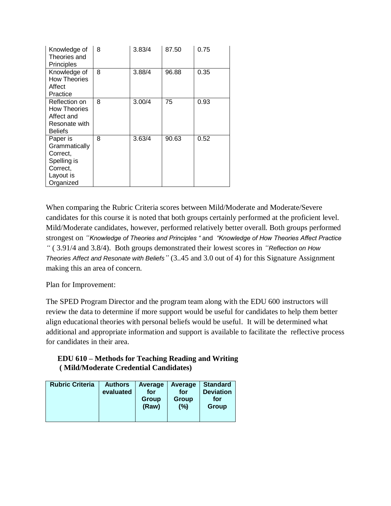| Knowledge of<br>Theories and<br>Principles                                                 | 8 | 3.83/4 | 87.50 | 0.75 |
|--------------------------------------------------------------------------------------------|---|--------|-------|------|
| Knowledge of<br><b>How Theories</b><br>Affect<br>Practice                                  | 8 | 3.88/4 | 96.88 | 0.35 |
| Reflection on<br><b>How Theories</b><br>Affect and<br>Resonate with<br><b>Beliefs</b>      | 8 | 3.00/4 | 75    | 0.93 |
| Paper is<br>Grammatically<br>Correct,<br>Spelling is<br>Correct,<br>Layout is<br>Organized | 8 | 3.63/4 | 90.63 | 0.52 |

When comparing the Rubric Criteria scores between Mild/Moderate and Moderate/Severe candidates for this course it is noted that both groups certainly performed at the proficient level. Mild/Moderate candidates, however, performed relatively better overall. Both groups performed strongest on *"Knowledge of Theories and Principles "* and *"Knowledge of How Theories Affect Practice "* ( 3.91/4 and 3.8/4). Both groups demonstrated their lowest scores in *"Reflection on How Theories Affect and Resonate with Beliefs"* (3..45 and 3.0 out of 4) for this Signature Assignment making this an area of concern.

Plan for Improvement:

The SPED Program Director and the program team along with the EDU 600 instructors will review the data to determine if more support would be useful for candidates to help them better align educational theories with personal beliefs would be useful. It will be determined what additional and appropriate information and support is available to facilitate the reflective process for candidates in their area.

# **EDU 610 – Methods for Teaching Reading and Writing ( Mild/Moderate Credential Candidates)**

| <b>Rubric Criteria</b><br><b>Authors</b><br>evaluated | Average<br>for<br>Group<br>(Raw) | Average<br>for<br>Group<br>(%) | <b>Standard</b><br><b>Deviation</b><br>for<br>Group |
|-------------------------------------------------------|----------------------------------|--------------------------------|-----------------------------------------------------|
|-------------------------------------------------------|----------------------------------|--------------------------------|-----------------------------------------------------|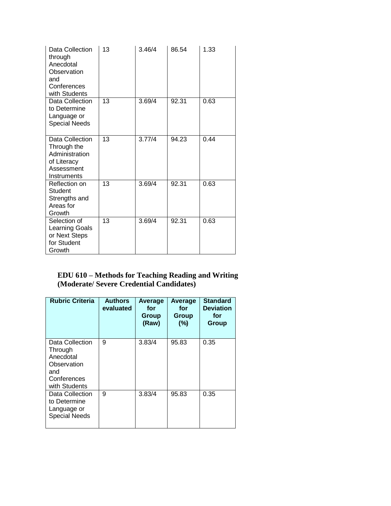| Data Collection<br>through<br>Anecdotal<br>Observation<br>and<br>Conferences<br>with Students | 13 | 3.46/4 | 86.54 | 1.33 |
|-----------------------------------------------------------------------------------------------|----|--------|-------|------|
| Data Collection<br>to Determine<br>Language or<br><b>Special Needs</b>                        | 13 | 3.69/4 | 92.31 | 0.63 |
| Data Collection<br>Through the<br>Administration<br>of Literacy<br>Assessment<br>Instruments  | 13 | 3.77/4 | 94.23 | 0.44 |
| Reflection on<br>Student<br>Strengths and<br>Areas for<br>Growth                              | 13 | 3.69/4 | 92.31 | 0.63 |
| Selection of<br>Learning Goals<br>or Next Steps<br>for Student<br>Growth                      | 13 | 3.69/4 | 92.31 | 0.63 |

#### **EDU 610 – Methods for Teaching Reading and Writing (Moderate/ Severe Credential Candidates)**

| <b>Rubric Criteria</b>                                                                        | <b>Authors</b><br>evaluated | Average<br>for<br>Group<br>(Raw) | Average<br>for<br>Group<br>(%) | <b>Standard</b><br><b>Deviation</b><br>for<br><b>Group</b> |
|-----------------------------------------------------------------------------------------------|-----------------------------|----------------------------------|--------------------------------|------------------------------------------------------------|
| Data Collection<br>Through<br>Anecdotal<br>Observation<br>and<br>Conferences<br>with Students | 9                           | 3.83/4                           | 95.83                          | 0.35                                                       |
| Data Collection<br>to Determine<br>Language or<br><b>Special Needs</b>                        | 9                           | 3.83/4                           | 95.83                          | 0.35                                                       |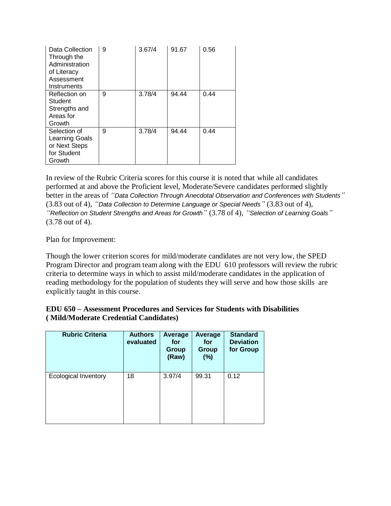| Data Collection<br>Through the<br>Administration<br>of Literacy<br>Assessment<br>Instruments | 9 | 3.67/4 | 91.67 | 0.56 |
|----------------------------------------------------------------------------------------------|---|--------|-------|------|
| Reflection on<br>Student<br>Strengths and<br>Areas for<br>Growth                             | 9 | 3.78/4 | 94.44 | 0.44 |
| Selection of<br>Learning Goals<br>or Next Steps<br>for Student<br>Growth                     | 9 | 3.78/4 | 94.44 | 0.44 |

In review of the Rubric Criteria scores for this course it is noted that while all candidates performed at and above the Proficient level, Moderate/Severe candidates performed slightly better in the areas of *"Data Collection Through Anecdotal Observation and Conferences with Students"* (3.83 out of 4), *"Data Collection to Determine Language or Special Needs"* (3.83 out of 4), *"Reflection on Student Strengths and Areas for Growth"* (3.78 of 4), *"Selection of Learning Goals"*  (3.78 out of 4).

Plan for Improvement:

Though the lower criterion scores for mild/moderate candidates are not very low, the SPED Program Director and program team along with the EDU 610 professors will review the rubric criteria to determine ways in which to assist mild/moderate candidates in the application of reading methodology for the population of students they will serve and how those skills are explicitly taught in this course.

| <b>EDU 650 – Assessment Procedures and Services for Students with Disabilities</b> |  |
|------------------------------------------------------------------------------------|--|
| (Mild/Moderate Credential Candidates)                                              |  |

| <b>Rubric Criteria</b>      | <b>Authors</b><br>evaluated | Average<br>for<br><b>Group</b><br>(Raw) | Average<br>for<br><b>Group</b><br>(%) | <b>Standard</b><br><b>Deviation</b><br>for Group |
|-----------------------------|-----------------------------|-----------------------------------------|---------------------------------------|--------------------------------------------------|
| <b>Ecological Inventory</b> | 18                          | 3.97/4                                  | 99.31                                 | 0.12                                             |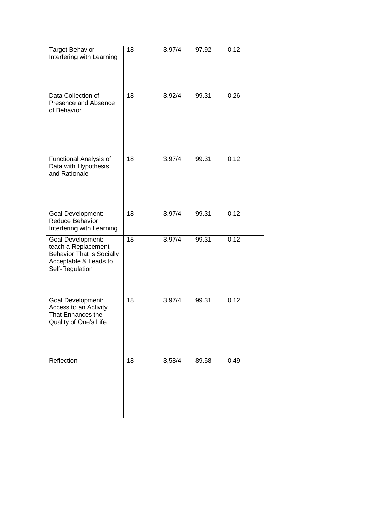| <b>Target Behavior</b><br>Interfering with Learning                                                                      | 18              | 3.97/4 | 97.92 | 0.12 |
|--------------------------------------------------------------------------------------------------------------------------|-----------------|--------|-------|------|
| Data Collection of<br>Presence and Absence<br>of Behavior                                                                | $\overline{18}$ | 3.92/4 | 99.31 | 0.26 |
| Functional Analysis of<br>Data with Hypothesis<br>and Rationale                                                          | 18              | 3.97/4 | 99.31 | 0.12 |
| <b>Goal Development:</b><br>Reduce Behavior<br>Interfering with Learning                                                 | 18              | 3.97/4 | 99.31 | 0.12 |
| Goal Development:<br>teach a Replacement<br><b>Behavior That is Socially</b><br>Acceptable & Leads to<br>Self-Regulation | 18              | 3.97/4 | 99.31 | 0.12 |
| Goal Development:<br>Access to an Activity<br>That Enhances the<br>Quality of One's Life                                 | 18              | 3.97/4 | 99.31 | 0.12 |
| Reflection                                                                                                               | 18              | 3,58/4 | 89.58 | 0.49 |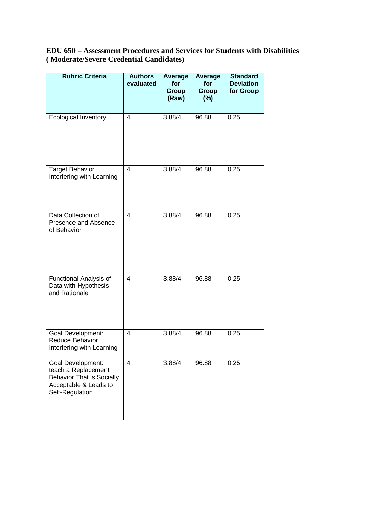**EDU 650 – Assessment Procedures and Services for Students with Disabilities ( Moderate/Severe Credential Candidates)**

| <b>Rubric Criteria</b>                                                                                                   | <b>Authors</b><br>evaluated | Average<br>for<br>Group<br>(Raw) | Average<br>for<br>Group<br>$(\%)$ | <b>Standard</b><br><b>Deviation</b><br>for Group |
|--------------------------------------------------------------------------------------------------------------------------|-----------------------------|----------------------------------|-----------------------------------|--------------------------------------------------|
| <b>Ecological Inventory</b>                                                                                              | $\overline{4}$              | 3.88/4                           | 96.88                             | 0.25                                             |
| <b>Target Behavior</b><br>Interfering with Learning                                                                      | $\overline{4}$              | 3.88/4                           | 96.88                             | 0.25                                             |
| Data Collection of<br>Presence and Absence<br>of Behavior                                                                | 4                           | 3.88/4                           | 96.88                             | 0.25                                             |
| Functional Analysis of<br>Data with Hypothesis<br>and Rationale                                                          | 4                           | 3.88/4                           | 96.88                             | 0.25                                             |
| Goal Development:<br>Reduce Behavior<br>Interfering with Learning                                                        | 4                           | 3.88/4                           | 96.88                             | 0.25                                             |
| Goal Development:<br>teach a Replacement<br><b>Behavior That is Socially</b><br>Acceptable & Leads to<br>Self-Regulation | 4                           | 3.88/4                           | 96.88                             | 0.25                                             |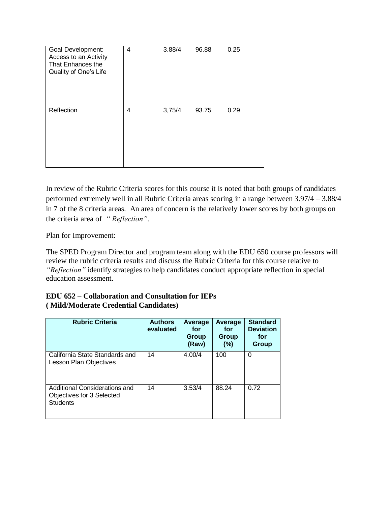| Goal Development:<br>Access to an Activity<br>That Enhances the<br>Quality of One's Life | 4 | 3.88/4 | 96.88 | 0.25 |
|------------------------------------------------------------------------------------------|---|--------|-------|------|
| Reflection                                                                               | 4 | 3,75/4 | 93.75 | 0.29 |

In review of the Rubric Criteria scores for this course it is noted that both groups of candidates performed extremely well in all Rubric Criteria areas scoring in a range between 3.97/4 – 3.88/4 in 7 of the 8 criteria areas. An area of concern is the relatively lower scores by both groups on the criteria area of *" Reflection"*.

Plan for Improvement:

The SPED Program Director and program team along with the EDU 650 course professors will review the rubric criteria results and discuss the Rubric Criteria for this course relative to *"Reflection"* identify strategies to help candidates conduct appropriate reflection in special education assessment.

| <b>Rubric Criteria</b>                                                        | <b>Authors</b><br>evaluated | Average<br>for<br>Group<br>(Raw) | Average<br>for<br>Group<br>(%) | <b>Standard</b><br><b>Deviation</b><br>for<br>Group |
|-------------------------------------------------------------------------------|-----------------------------|----------------------------------|--------------------------------|-----------------------------------------------------|
| California State Standards and<br>Lesson Plan Objectives                      | 14                          | 4.00/4                           | 100                            | 0                                                   |
| Additional Considerations and<br>Objectives for 3 Selected<br><b>Students</b> | 14                          | 3.53/4                           | 88.24                          | 0.72                                                |

### **EDU 652 – Collaboration and Consultation for IEPs ( Mild/Moderate Credential Candidates)**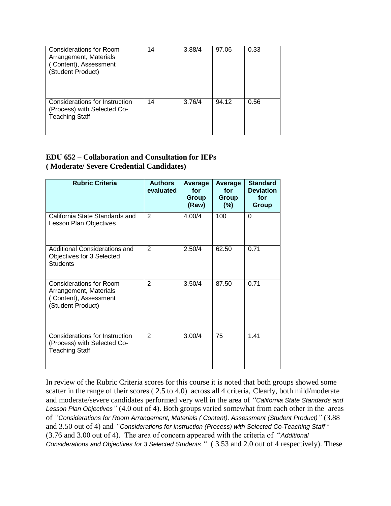| Considerations for Room<br>Arrangement, Materials<br>(Content), Assessment<br>(Student Product) | 14 | 3.88/4 | 97.06 | 0.33 |
|-------------------------------------------------------------------------------------------------|----|--------|-------|------|
| Considerations for Instruction<br>(Process) with Selected Co-<br><b>Teaching Staff</b>          | 14 | 3.76/4 | 94.12 | 0.56 |

#### **EDU 652 – Collaboration and Consultation for IEPs ( Moderate/ Severe Credential Candidates)**

| <b>Rubric Criteria</b>                                                                                 | <b>Authors</b><br>evaluated | Average<br>for<br>Group<br>(Raw) | Average<br>for<br>Group<br>$(\%)$ | <b>Standard</b><br><b>Deviation</b><br>for<br>Group |
|--------------------------------------------------------------------------------------------------------|-----------------------------|----------------------------------|-----------------------------------|-----------------------------------------------------|
| California State Standards and<br>Lesson Plan Objectives                                               | $\overline{2}$              | 4.00/4                           | 100                               | 0                                                   |
| Additional Considerations and<br>Objectives for 3 Selected<br><b>Students</b>                          | 2                           | 2.50/4                           | 62.50                             | 0.71                                                |
| <b>Considerations for Room</b><br>Arrangement, Materials<br>(Content), Assessment<br>(Student Product) | $\overline{2}$              | 3.50/4                           | 87.50                             | 0.71                                                |
| Considerations for Instruction<br>(Process) with Selected Co-<br><b>Teaching Staff</b>                 | $\overline{2}$              | 3.00/4                           | 75                                | 1.41                                                |

In review of the Rubric Criteria scores for this course it is noted that both groups showed some scatter in the range of their scores (2.5 to 4.0) across all 4 criteria, Clearly, both mild/moderate and moderate/severe candidates performed very well in the area of *"California State Standards and Lesson Plan Objectives"* (4.0 out of 4). Both groups varied somewhat from each other in the areas of *"Considerations for Room Arrangement, Materials ( Content), Assessment (Student Product)"* (3.88 and 3.50 out of 4) and *"Considerations for Instruction (Process) with Selected Co-Teaching Staff "* (3.76 and 3.00 out of 4). The area of concern appeared with the criteria of "*Additional Considerations and Objectives for 3 Selected Students "* ( 3.53 and 2.0 out of 4 respectively). These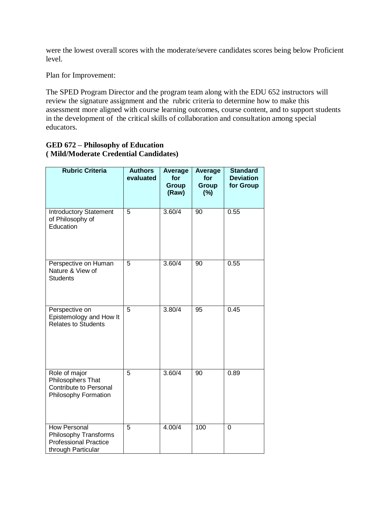were the lowest overall scores with the moderate/severe candidates scores being below Proficient level.

Plan for Improvement:

The SPED Program Director and the program team along with the EDU 652 instructors will review the signature assignment and the rubric criteria to determine how to make this assessment more aligned with course learning outcomes, course content, and to support students in the development of the critical skills of collaboration and consultation among special educators.

#### **GED 672 – Philosophy of Education ( Mild/Moderate Credential Candidates)**

| <b>Rubric Criteria</b>                                                                      | <b>Authors</b><br>evaluated | Average<br>for<br><b>Group</b><br>(Raw) | <b>Average</b><br>for<br><b>Group</b><br>(%) | <b>Standard</b><br><b>Deviation</b><br>for Group |
|---------------------------------------------------------------------------------------------|-----------------------------|-----------------------------------------|----------------------------------------------|--------------------------------------------------|
| Introductory Statement<br>of Philosophy of<br>Education                                     | 5                           | 3.60/4                                  | 90                                           | 0.55                                             |
| Perspective on Human<br>Nature & View of<br><b>Students</b>                                 | 5                           | $3.\overline{60/4}$                     | 90                                           | 0.55                                             |
| Perspective on<br>Epistemology and How It<br><b>Relates to Students</b>                     | $\overline{5}$              | 3.80/4                                  | 95                                           | 0.45                                             |
| Role of major<br>Philosophers That<br>Contribute to Personal<br>Philosophy Formation        | 5                           | 3.60/4                                  | 90                                           | 0.89                                             |
| How Personal<br>Philosophy Transforms<br><b>Professional Practice</b><br>through Particular | 5                           | 4.00/4                                  | 100                                          | $\Omega$                                         |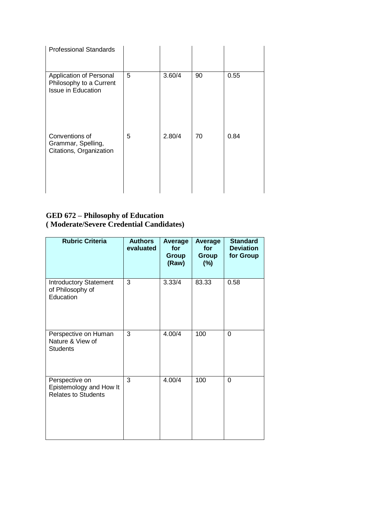| <b>Professional Standards</b>                                            |   |        |    |      |
|--------------------------------------------------------------------------|---|--------|----|------|
| Application of Personal<br>Philosophy to a Current<br>Issue in Education | 5 | 3.60/4 | 90 | 0.55 |
| Conventions of<br>Grammar, Spelling,<br>Citations, Organization          | 5 | 2.80/4 | 70 | 0.84 |

#### **GED 672 – Philosophy of Education ( Moderate/Severe Credential Candidates)**

| <b>Rubric Criteria</b>                                                  | <b>Authors</b><br>evaluated | Average<br>for<br>Group<br>(Raw) | Average<br>for<br>Group<br>$(\%)$ | <b>Standard</b><br><b>Deviation</b><br>for Group |
|-------------------------------------------------------------------------|-----------------------------|----------------------------------|-----------------------------------|--------------------------------------------------|
| <b>Introductory Statement</b><br>of Philosophy of<br>Education          | 3                           | 3.33/4                           | 83.33                             | 0.58                                             |
| Perspective on Human<br>Nature & View of<br><b>Students</b>             | 3                           | 4.00/4                           | 100                               | $\Omega$                                         |
| Perspective on<br>Epistemology and How It<br><b>Relates to Students</b> | 3                           | 4.00/4                           | 100                               | $\Omega$                                         |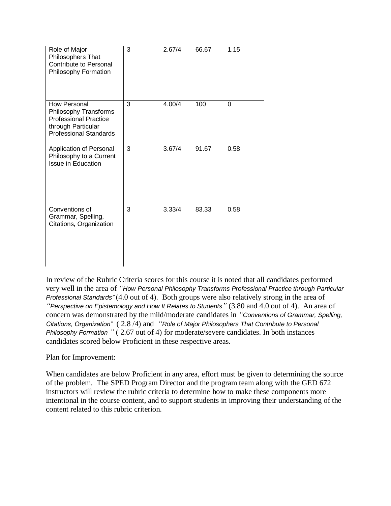| Role of Major<br>Philosophers That<br><b>Contribute to Personal</b><br>Philosophy Formation                                  | 3 | 2.67/4 | 66.67 | 1.15     |
|------------------------------------------------------------------------------------------------------------------------------|---|--------|-------|----------|
| How Personal<br>Philosophy Transforms<br><b>Professional Practice</b><br>through Particular<br><b>Professional Standards</b> | 3 | 4.00/4 | 100   | $\Omega$ |
| Application of Personal<br>Philosophy to a Current<br><b>Issue in Education</b>                                              | 3 | 3.67/4 | 91.67 | 0.58     |
| Conventions of<br>Grammar, Spelling,<br>Citations, Organization                                                              | 3 | 3.33/4 | 83.33 | 0.58     |

In review of the Rubric Criteria scores for this course it is noted that all candidates performed very well in the area of *"How Personal Philosophy Transforms Professional Practice through Particular Professional Standards"* (4.0 out of 4). Both groups were also relatively strong in the area of *"Perspective on Epistemology and How It Relates to Students"* (3.80 and 4.0 out of 4). An area of concern was demonstrated by the mild/moderate candidates in *"Conventions of Grammar, Spelling, Citations, Organization"* ( 2.8 /4) and *"Role of Major Philosophers That Contribute to Personal Philosophy Formation*  $"$  (2.67 out of 4) for moderate/severe candidates. In both instances candidates scored below Proficient in these respective areas.

Plan for Improvement:

When candidates are below Proficient in any area, effort must be given to determining the source of the problem. The SPED Program Director and the program team along with the GED 672 instructors will review the rubric criteria to determine how to make these components more intentional in the course content, and to support students in improving their understanding of the content related to this rubric criterion.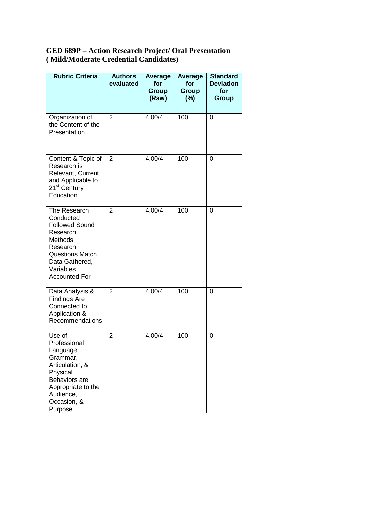#### **GED 689P – Action Research Project/ Oral Presentation ( Mild/Moderate Credential Candidates)**

| <b>Rubric Criteria</b>                                                                                                                                                  | <b>Authors</b><br>evaluated | Average<br>for<br>Group<br>(Raw) | Average<br>for<br>Group<br>$(\%)$ | <b>Standard</b><br><b>Deviation</b><br>for<br>Group |
|-------------------------------------------------------------------------------------------------------------------------------------------------------------------------|-----------------------------|----------------------------------|-----------------------------------|-----------------------------------------------------|
| Organization of<br>the Content of the<br>Presentation                                                                                                                   | 2                           | 4.00/4                           | 100                               | 0                                                   |
| Content & Topic of<br>Research is<br>Relevant, Current,<br>and Applicable to<br>21 <sup>st</sup> Century<br>Education                                                   | $\overline{2}$              | 4.00/4                           | 100                               | 0                                                   |
| The Research<br>Conducted<br><b>Followed Sound</b><br>Research<br>Methods;<br>Research<br><b>Questions Match</b><br>Data Gathered,<br>Variables<br><b>Accounted For</b> | $\overline{2}$              | 4.00/4                           | 100                               | 0                                                   |
| Data Analysis &<br><b>Findings Are</b><br>Connected to<br>Application &<br>Recommendations                                                                              | $\overline{2}$              | 4.00/4                           | 100                               | 0                                                   |
| Use of<br>Professional<br>Language,<br>Grammar,<br>Articulation, &<br>Physical<br>Behaviors are<br>Appropriate to the<br>Audience,<br>Occasion, &<br>Purpose            | $\overline{2}$              | 4.00/4                           | 100                               | 0                                                   |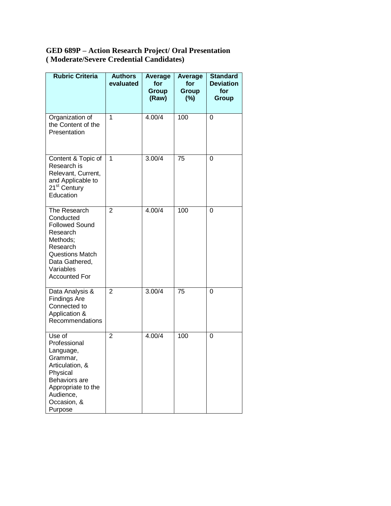#### **GED 689P – Action Research Project/ Oral Presentation ( Moderate/Severe Credential Candidates)**

| <b>Rubric Criteria</b>                                                                                                                                                  | <b>Authors</b><br>evaluated | Average<br>for<br>Group<br>(Raw) | Average<br>for<br>Group<br>$(\%)$ | <b>Standard</b><br><b>Deviation</b><br>for<br>Group |
|-------------------------------------------------------------------------------------------------------------------------------------------------------------------------|-----------------------------|----------------------------------|-----------------------------------|-----------------------------------------------------|
| Organization of<br>the Content of the<br>Presentation                                                                                                                   | 1                           | 4.00/4                           | 100                               | 0                                                   |
| Content & Topic of<br>Research is<br>Relevant, Current,<br>and Applicable to<br>21 <sup>st</sup> Century<br>Education                                                   | 1                           | 3.00/4                           | 75                                | 0                                                   |
| The Research<br>Conducted<br><b>Followed Sound</b><br>Research<br>Methods;<br>Research<br><b>Questions Match</b><br>Data Gathered,<br>Variables<br><b>Accounted For</b> | $\overline{2}$              | 4.00/4                           | 100                               | 0                                                   |
| Data Analysis &<br><b>Findings Are</b><br>Connected to<br>Application &<br>Recommendations                                                                              | $\overline{2}$              | 3.00/4                           | 75                                | 0                                                   |
| Use of<br>Professional<br>Language,<br>Grammar,<br>Articulation, &<br>Physical<br>Behaviors are<br>Appropriate to the<br>Audience,<br>Occasion, &<br>Purpose            | $\overline{2}$              | 4.00/4                           | 100                               | 0                                                   |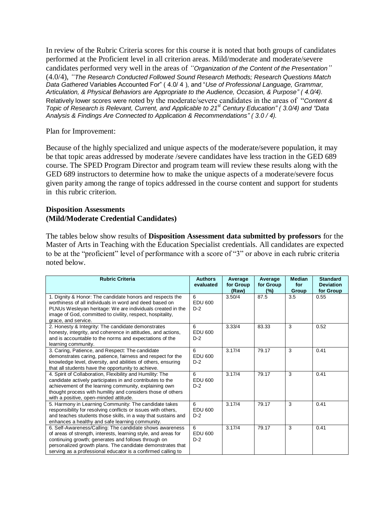In review of the Rubric Criteria scores for this course it is noted that both groups of candidates performed at the Proficient level in all criterion areas. Mild/moderate and moderate/severe candidates performed very well in the areas of *"Organization of the Content of the Presentation"* (4.0/4), *"The Research Conducted Followed Sound Research Methods; Research Questions Match Data Gathered* Variables Accounted For" ( 4.0/ 4 ), and "*Use of Professional Language, Grammar, Articulation, & Physical Behaviors are Appropriate to the Audience, Occasion, & Purpose" ( 4.0/4).*  Relatively lower scores were noted by the moderate/severe candidates in the areas of "*Content & Topic of Research is Relevant, Current, and Applicable to 21st Century Education" ( 3.0/4) and "Data Analysis & Findings Are Connected to Application & Recommendations" ( 3.0 / 4).* 

Plan for Improvement:

Because of the highly specialized and unique aspects of the moderate/severe population, it may be that topic areas addressed by moderate /severe candidates have less traction in the GED 689 course. The SPED Program Director and program team will review these results along with the GED 689 instructors to determine how to make the unique aspects of a moderate/severe focus given parity among the range of topics addressed in the course content and support for students in this rubric criterion.

#### **Disposition Assessments (Mild/Moderate Credential Candidates)**

The tables below show results of **Disposition Assessment data submitted by professors** for the Master of Arts in Teaching with the Education Specialist credentials. All candidates are expected to be at the "proficient" level of performance with a score of "3" or above in each rubric criteria noted below.

| <b>Rubric Criteria</b>                                                                                      | <b>Authors</b>   | Average   | Average   | <b>Median</b> | <b>Standard</b>  |
|-------------------------------------------------------------------------------------------------------------|------------------|-----------|-----------|---------------|------------------|
|                                                                                                             | evaluated        | for Group | for Group | for           | <b>Deviation</b> |
|                                                                                                             |                  | (Raw)     | (%)       | Group         | for Group        |
| 1. Dignity & Honor: The candidate honors and respects the                                                   | 6                | 3.50/4    | 87.5      | 3.5           | 0.55             |
| worthiness of all individuals in word and deed based on                                                     | <b>EDU 600</b>   |           |           |               |                  |
| PLNUs Wesleyan heritage: We are individuals created in the                                                  | $D-2$            |           |           |               |                  |
| image of God, committed to civility, respect, hospitality,                                                  |                  |           |           |               |                  |
| grace, and service.                                                                                         |                  |           |           |               |                  |
| 2. Honesty & Integrity: The candidate demonstrates                                                          | 6                | 3.33/4    | 83.33     | 3             | 0.52             |
| honesty, integrity, and coherence in attitudes, and actions,                                                | EDU 600<br>$D-2$ |           |           |               |                  |
| and is accountable to the norms and expectations of the<br>learning community.                              |                  |           |           |               |                  |
| 3. Caring, Patience, and Respect: The candidate                                                             | 6                | 3.17/4    | 79.17     | 3             | 0.41             |
| demonstrates caring, patience, fairness and respect for the                                                 | <b>EDU 600</b>   |           |           |               |                  |
| knowledge level, diversity, and abilities of others, ensuring                                               | $D-2$            |           |           |               |                  |
| that all students have the opportunity to achieve.                                                          |                  |           |           |               |                  |
| 4. Spirit of Collaboration, Flexibility and Humility: The                                                   | 6                | 3.17/4    | 79.17     | 3             | 0.41             |
| candidate actively participates in and contributes to the                                                   | <b>EDU 600</b>   |           |           |               |                  |
| achievement of the learning community, explaining own                                                       | $D-2$            |           |           |               |                  |
| thought process with humility and considers those of others                                                 |                  |           |           |               |                  |
| with a positive, open-minded attitude.                                                                      |                  |           |           |               |                  |
| 5. Harmony in Learning Community: The candidate takes                                                       | 6                | 3.17/4    | 79.17     | 3             | 0.41             |
| responsibility for resolving conflicts or issues with others,                                               | EDU 600          |           |           |               |                  |
| and teaches students those skills, in a way that sustains and                                               | $D-2$            |           |           |               |                  |
| enhances a healthy and safe learning community.<br>6. Self-Awareness/Calling: The candidate shows awareness | 6                | 3.17/4    | 79.17     | 3             | 0.41             |
| of areas of strength, interests, learning style, and areas for                                              | <b>EDU 600</b>   |           |           |               |                  |
| continuing growth; generates and follows through on                                                         | $D-2$            |           |           |               |                  |
| personalized growth plans. The candidate demonstrates that                                                  |                  |           |           |               |                  |
| serving as a professional educator is a confirmed calling to                                                |                  |           |           |               |                  |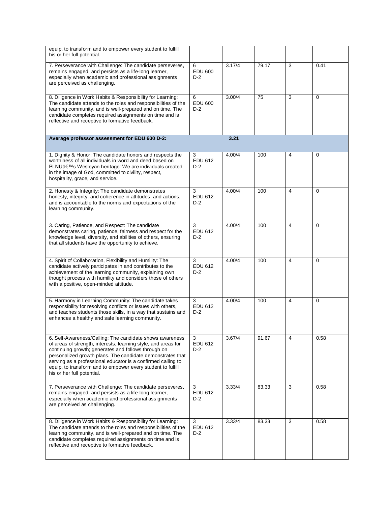| equip, to transform and to empower every student to fulfill<br>his or her full potential.                                                                                                                                                                                                                                                                                                                    |                              |        |       |                |          |
|--------------------------------------------------------------------------------------------------------------------------------------------------------------------------------------------------------------------------------------------------------------------------------------------------------------------------------------------------------------------------------------------------------------|------------------------------|--------|-------|----------------|----------|
| 7. Perseverance with Challenge: The candidate perseveres,<br>remains engaged, and persists as a life-long learner,<br>especially when academic and professional assignments<br>are perceived as challenging.                                                                                                                                                                                                 | 6<br><b>EDU 600</b><br>$D-2$ | 3.17/4 | 79.17 | 3              | 0.41     |
| 8. Diligence in Work Habits & Responsibility for Learning:<br>The candidate attends to the roles and responsibilities of the<br>learning community, and is well-prepared and on time. The<br>candidate completes required assignments on time and is<br>reflective and receptive to formative feedback.                                                                                                      | 6<br><b>EDU 600</b><br>$D-2$ | 3.00/4 | 75    | 3              | $\Omega$ |
| Average professor assessment for EDU 600 D-2:                                                                                                                                                                                                                                                                                                                                                                |                              | 3.21   |       |                |          |
| 1. Dignity & Honor: The candidate honors and respects the<br>worthiness of all individuals in word and deed based on<br>PLNU's Wesleyan heritage: We are individuals created<br>in the image of God, committed to civility, respect,<br>hospitality, grace, and service.                                                                                                                                     | 3<br><b>EDU 612</b><br>$D-2$ | 4.00/4 | 100   | 4              | 0        |
| 2. Honesty & Integrity: The candidate demonstrates<br>honesty, integrity, and coherence in attitudes, and actions,<br>and is accountable to the norms and expectations of the<br>learning community.                                                                                                                                                                                                         | 3<br><b>EDU 612</b><br>$D-2$ | 4.00/4 | 100   | 4              | $\Omega$ |
| 3. Caring, Patience, and Respect: The candidate<br>demonstrates caring, patience, fairness and respect for the<br>knowledge level, diversity, and abilities of others, ensuring<br>that all students have the opportunity to achieve.                                                                                                                                                                        | 3<br><b>EDU 612</b><br>$D-2$ | 4.00/4 | 100   | $\overline{4}$ | $\Omega$ |
| 4. Spirit of Collaboration, Flexibility and Humility: The<br>candidate actively participates in and contributes to the<br>achievement of the learning community, explaining own<br>thought process with humility and considers those of others<br>with a positive, open-minded attitude.                                                                                                                     | 3<br><b>EDU 612</b><br>$D-2$ | 4.00/4 | 100   | $\overline{4}$ | $\Omega$ |
| 5. Harmony in Learning Community: The candidate takes<br>responsibility for resolving conflicts or issues with others,<br>and teaches students those skills, in a way that sustains and<br>enhances a healthy and safe learning community.                                                                                                                                                                   | 3<br><b>EDU 612</b><br>$D-2$ | 4.00/4 | 100   | $\overline{4}$ | $\Omega$ |
| 6. Self-Awareness/Calling: The candidate shows awareness<br>of areas of strength, interests, learning style, and areas for<br>continuing growth; generates and follows through on<br>personalized growth plans. The candidate demonstrates that<br>serving as a professional educator is a confirmed calling to<br>equip, to transform and to empower every student to fulfill<br>his or her full potential. | 3<br>EDU 612<br>$D-2$        | 3.67/4 | 91.67 | 4              | 0.58     |
| 7. Perseverance with Challenge: The candidate perseveres,<br>remains engaged, and persists as a life-long learner,<br>especially when academic and professional assignments<br>are perceived as challenging.                                                                                                                                                                                                 | 3<br>EDU 612<br>D-2          | 3.33/4 | 83.33 | 3              | 0.58     |
| 8. Diligence in Work Habits & Responsibility for Learning:<br>The candidate attends to the roles and responsibilities of the<br>learning community, and is well-prepared and on time. The<br>candidate completes required assignments on time and is<br>reflective and receptive to formative feedback.                                                                                                      | 3<br>EDU 612<br>$D-2$        | 3.33/4 | 83.33 | 3              | 0.58     |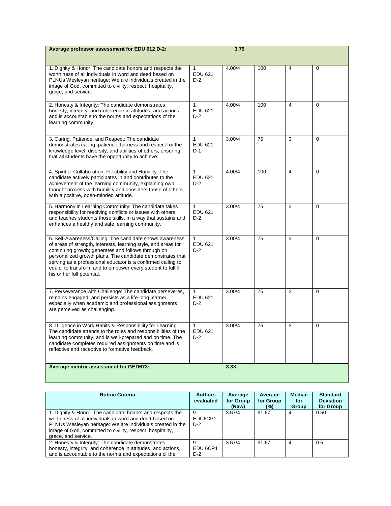| Average professor assessment for EDU 612 D-2:                                                                                                                                                                                                                                                                                                                                                                |                              | 3.79   |     |   |          |
|--------------------------------------------------------------------------------------------------------------------------------------------------------------------------------------------------------------------------------------------------------------------------------------------------------------------------------------------------------------------------------------------------------------|------------------------------|--------|-----|---|----------|
| 1. Dignity & Honor: The candidate honors and respects the<br>worthiness of all individuals in word and deed based on<br>PLNUs Wesleyan heritage: We are individuals created in the<br>image of God, committed to civility, respect, hospitality,<br>grace, and service.                                                                                                                                      | 1<br><b>EDU 621</b><br>$D-2$ | 4.00/4 | 100 | 4 | 0        |
| 2. Honesty & Integrity: The candidate demonstrates<br>honesty, integrity, and coherence in attitudes, and actions,<br>and is accountable to the norms and expectations of the<br>learning community.                                                                                                                                                                                                         | 1<br>EDU 621<br>$D-2$        | 4.00/4 | 100 | 4 | $\Omega$ |
| 3. Caring, Patience, and Respect: The candidate<br>demonstrates caring, patience, fairness and respect for the<br>knowledge level, diversity, and abilities of others, ensuring<br>that all students have the opportunity to achieve.                                                                                                                                                                        | 1<br>EDU 621<br>$D-1$        | 3.00/4 | 75  | 3 | 0        |
| 4. Spirit of Collaboration, Flexibility and Humility: The<br>candidate actively participates in and contributes to the<br>achievement of the learning community, explaining own<br>thought process with humility and considers those of others<br>with a positive, open-minded attitude.                                                                                                                     | 1<br><b>EDU 621</b><br>$D-2$ | 4.00/4 | 100 | 4 | $\Omega$ |
| 5. Harmony in Learning Community: The candidate takes<br>responsibility for resolving conflicts or issues with others,<br>and teaches students those skills, in a way that sustains and<br>enhances a healthy and safe learning community.                                                                                                                                                                   | 1<br><b>EDU 621</b><br>$D-2$ | 3.00/4 | 75  | 3 | 0        |
| 6. Self-Awareness/Calling: The candidate shows awareness<br>of areas of strength, interests, learning style, and areas for<br>continuing growth; generates and follows through on<br>personalized growth plans. The candidate demonstrates that<br>serving as a professional educator is a confirmed calling to<br>equip, to transform and to empower every student to fulfill<br>his or her full potential. | 1<br>EDU 621<br>D-2          | 3.00/4 | 75  | 3 | 0        |
| 7. Perseverance with Challenge: The candidate perseveres,<br>remains engaged, and persists as a life-long learner,<br>especially when academic and professional assignments<br>are perceived as challenging.                                                                                                                                                                                                 | 1<br><b>EDU 621</b><br>$D-2$ | 3.00/4 | 75  | 3 | 0        |
| 8. Diligence in Work Habits & Responsibility for Learning:<br>The candidate attends to the roles and responsibilities of the<br>learning community, and is well-prepared and on time. The<br>candidate completes required assignments on time and is<br>reflective and receptive to formative feedback.                                                                                                      | 1<br><b>EDU 621</b><br>D-2   | 3.00/4 | 75  | 3 | $\Omega$ |
| Average mentor assessment for GED673:                                                                                                                                                                                                                                                                                                                                                                        |                              | 3.38   |     |   |          |

| <b>Rubric Criteria</b>                                                                                                                                                                                                                                                  | <b>Authors</b><br>evaluated        | Average<br>for Group<br>(Raw) | Average<br>for Group<br>(%) | <b>Median</b><br>for<br>Group | <b>Standard</b><br><b>Deviation</b><br>for Group |
|-------------------------------------------------------------------------------------------------------------------------------------------------------------------------------------------------------------------------------------------------------------------------|------------------------------------|-------------------------------|-----------------------------|-------------------------------|--------------------------------------------------|
| 1. Dignity & Honor: The candidate honors and respects the<br>worthiness of all individuals in word and deed based on<br>PLNUs Wesleyan heritage: We are individuals created in the<br>image of God, committed to civility, respect, hospitality,<br>grace, and service. | 9<br>EDU6CP1<br>$D-2$              | 3.67/4                        | 91.67                       | 4                             | 0.50                                             |
| 2. Honesty & Integrity: The candidate demonstrates<br>honesty, integrity, and coherence in attitudes, and actions,<br>and is accountable to the norms and expectations of the                                                                                           | 9<br>EDU <sub>6</sub> CP1<br>$D-2$ | 3.67/4                        | 91.67                       | 4                             | 0.5                                              |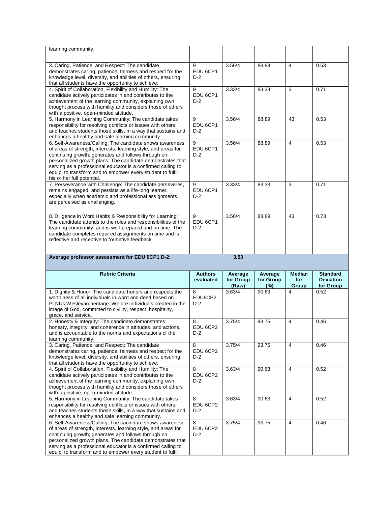| learning community.                                                                                                                                                                                                                                                                                                                                                                                          |                             |                               |                             |                               |                                                  |
|--------------------------------------------------------------------------------------------------------------------------------------------------------------------------------------------------------------------------------------------------------------------------------------------------------------------------------------------------------------------------------------------------------------|-----------------------------|-------------------------------|-----------------------------|-------------------------------|--------------------------------------------------|
| 3. Caring, Patience, and Respect: The candidate<br>demonstrates caring, patience, fairness and respect for the<br>knowledge level, diversity, and abilities of others, ensuring<br>that all students have the opportunity to achieve.                                                                                                                                                                        | 9<br>EDU 6CP1<br>$D-2$      | 3.56/4                        | 88.89                       | $\overline{4}$                | 0.53                                             |
| 4. Spirit of Collaboration, Flexibility and Humility: The<br>candidate actively participates in and contributes to the<br>achievement of the learning community, explaining own<br>thought process with humility and considers those of others<br>with a positive, open-minded attitude.                                                                                                                     | 9<br>EDU 6CP1<br>$D-2$      | 3.33/4                        | 83.33                       | 3                             | 0.71                                             |
| 5. Harmony in Learning Community: The candidate takes<br>responsibility for resolving conflicts or issues with others,<br>and teaches students those skills, in a way that sustains and<br>enhances a healthy and safe learning community.                                                                                                                                                                   | 9<br>EDU 6CP1<br>$D-2$      | 3.56/4                        | 88.89                       | 43                            | 0.53                                             |
| 6. Self-Awareness/Calling: The candidate shows awareness<br>of areas of strength, interests, learning style, and areas for<br>continuing growth; generates and follows through on<br>personalized growth plans. The candidate demonstrates that<br>serving as a professional educator is a confirmed calling to<br>equip, to transform and to empower every student to fulfill<br>his or her full potential. | 9<br>EDU 6CP1<br>$D-2$      | 3.56/4                        | 88.89                       | $\overline{4}$                | 0.53                                             |
| 7. Perseverance with Challenge: The candidate perseveres,<br>remains engaged, and persists as a life-long learner,<br>especially when academic and professional assignments<br>are perceived as challenging.                                                                                                                                                                                                 | 9<br>EDU 6CP1<br>$D-2$      | 3.33/4                        | 83.33                       | 3                             | 0.71                                             |
| 8. Diligence in Work Habits & Responsibility for Learning:<br>The candidate attends to the roles and responsibilities of the<br>learning community, and is well-prepared and on time. The<br>candidate completes required assignments on time and is<br>reflective and receptive to formative feedback.                                                                                                      | 9<br>EDU 6CP1<br>$D-2$      | 3.56/4                        | 88.89                       | 43                            | 0.73                                             |
|                                                                                                                                                                                                                                                                                                                                                                                                              |                             |                               |                             |                               |                                                  |
| Average professor assessment for EDU 6CP1 D-2:                                                                                                                                                                                                                                                                                                                                                               |                             | 3.53                          |                             |                               |                                                  |
| <b>Rubric Criteria</b>                                                                                                                                                                                                                                                                                                                                                                                       | <b>Authors</b><br>evaluated | Average<br>for Group<br>(Raw) | Average<br>for Group<br>(%) | <b>Median</b><br>for<br>Group | <b>Standard</b><br><b>Deviation</b><br>for Group |
| 1. Dignity & Honor: The candidate honors and respects the<br>worthiness of all individuals in word and deed based on<br>PLNUs Wesleyan heritage: We are individuals created in the<br>image of God, committed to civility, respect, hospitality,<br>grace, and service.                                                                                                                                      | 8<br>EDU6CP2<br>$D-2$       | 3.63/4                        | 90.63                       | 4                             | 0.52                                             |
| 2. Honesty & Integrity: The candidate demonstrates<br>honesty, integrity, and coherence in attitudes, and actions,<br>and is accountable to the norms and expectations of the<br>learning community.                                                                                                                                                                                                         | 8<br>EDU 6CP2<br>D-2        | 3.75/4                        | 93.75                       | $\overline{4}$                | 0.46                                             |
| 3. Caring, Patience, and Respect: The candidate<br>demonstrates caring, patience, fairness and respect for the<br>knowledge level, diversity, and abilities of others, ensuring<br>that all students have the opportunity to achieve.                                                                                                                                                                        | 8<br>EDU 6CP2<br>D-2        | 3.75/4                        | 93.75                       | 4                             | 0.46                                             |
| 4. Spirit of Collaboration, Flexibility and Humility: The<br>candidate actively participates in and contributes to the<br>achievement of the learning community, explaining own<br>thought process with humility and considers those of others<br>with a positive, open-minded attitude.                                                                                                                     | 8<br>EDU 6CP2<br>D-2        | 3.63/4                        | 90.63                       | 4                             | 0.52                                             |
| 5. Harmony in Learning Community: The candidate takes<br>responsibility for resolving conflicts or issues with others,<br>and teaches students those skills, in a way that sustains and<br>enhances a healthy and safe learning community.                                                                                                                                                                   | 8<br>EDU 6CP2<br>D-2        | 3.63/4                        | 90.63                       | $\overline{4}$                | 0.52                                             |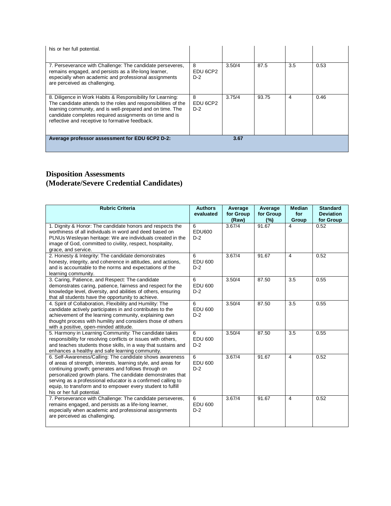| his or her full potential.                                                                                                                                                                                                                                                                              |                        |        |       |     |      |
|---------------------------------------------------------------------------------------------------------------------------------------------------------------------------------------------------------------------------------------------------------------------------------------------------------|------------------------|--------|-------|-----|------|
| 7. Perseverance with Challenge: The candidate perseveres,<br>remains engaged, and persists as a life-long learner,<br>especially when academic and professional assignments<br>are perceived as challenging.                                                                                            | 8<br>EDU 6CP2<br>$D-2$ | 3.50/4 | 87.5  | 3.5 | 0.53 |
| 8. Diligence in Work Habits & Responsibility for Learning:<br>The candidate attends to the roles and responsibilities of the<br>learning community, and is well-prepared and on time. The<br>candidate completes required assignments on time and is<br>reflective and receptive to formative feedback. | 8<br>EDU 6CP2<br>$D-2$ | 3.75/4 | 93.75 | 4   | 0.46 |
| Average professor assessment for EDU 6CP2 D-2:                                                                                                                                                                                                                                                          |                        | 3.67   |       |     |      |

## **Disposition Assessments (Moderate/Severe Credential Candidates)**

| <b>Rubric Criteria</b>                                                                                                                                                                                                                                                                                                                                                                                       | <b>Authors</b><br>evaluated  | Average<br>for Group<br>(Raw) | Average<br>for Group<br>(%) | <b>Median</b><br>for<br>Group | <b>Standard</b><br><b>Deviation</b><br>for Group |
|--------------------------------------------------------------------------------------------------------------------------------------------------------------------------------------------------------------------------------------------------------------------------------------------------------------------------------------------------------------------------------------------------------------|------------------------------|-------------------------------|-----------------------------|-------------------------------|--------------------------------------------------|
| 1. Dignity & Honor: The candidate honors and respects the<br>worthiness of all individuals in word and deed based on<br>PLNUs Wesleyan heritage: We are individuals created in the<br>image of God, committed to civility, respect, hospitality,<br>grace, and service.                                                                                                                                      | 6<br>EDU600<br>$D-2$         | 3.67/4                        | 91.67                       | 4                             | 0.52                                             |
| 2. Honesty & Integrity: The candidate demonstrates<br>honesty, integrity, and coherence in attitudes, and actions,<br>and is accountable to the norms and expectations of the<br>learning community.                                                                                                                                                                                                         | 6<br>EDU 600<br>$D-2$        | 3.67/4                        | 91.67                       | $\overline{\mathcal{L}}$      | 0.52                                             |
| 3. Caring, Patience, and Respect: The candidate<br>demonstrates caring, patience, fairness and respect for the<br>knowledge level, diversity, and abilities of others, ensuring<br>that all students have the opportunity to achieve.                                                                                                                                                                        | 6<br>EDU 600<br>$D-2$        | 3.50/4                        | 87.50                       | 3.5                           | 0.55                                             |
| 4. Spirit of Collaboration, Flexibility and Humility: The<br>candidate actively participates in and contributes to the<br>achievement of the learning community, explaining own<br>thought process with humility and considers those of others<br>with a positive, open-minded attitude.                                                                                                                     | 6<br><b>EDU 600</b><br>$D-2$ | 3.50/4                        | 87.50                       | 3.5                           | 0.55                                             |
| 5. Harmony in Learning Community: The candidate takes<br>responsibility for resolving conflicts or issues with others,<br>and teaches students those skills, in a way that sustains and<br>enhances a healthy and safe learning community.                                                                                                                                                                   | 6<br>EDU 600<br>$D-2$        | 3.50/4                        | 87.50                       | 3.5                           | 0.55                                             |
| 6. Self-Awareness/Calling: The candidate shows awareness<br>of areas of strength, interests, learning style, and areas for<br>continuing growth; generates and follows through on<br>personalized growth plans. The candidate demonstrates that<br>serving as a professional educator is a confirmed calling to<br>equip, to transform and to empower every student to fulfill<br>his or her full potential. | 6<br>EDU 600<br>$D-2$        | 3.67/4                        | 91.67                       | 4                             | 0.52                                             |
| 7. Perseverance with Challenge: The candidate perseveres,<br>remains engaged, and persists as a life-long learner,<br>especially when academic and professional assignments<br>are perceived as challenging.                                                                                                                                                                                                 | 6<br><b>EDU 600</b><br>$D-2$ | 3.67/4                        | 91.67                       | $\overline{4}$                | 0.52                                             |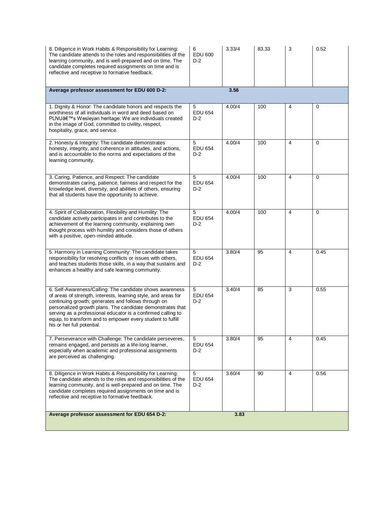| 8. Diligence in Work Habits & Responsibility for Learning:<br>The candidate attends to the roles and responsibilities of the<br>learning community, and is well-prepared and on time. The<br>candidate completes required assignments on time and is<br>reflective and receptive to formative feedback.                                                                                                      | 6<br><b>EDU 600</b><br>$D-2$ | 3.33/4 | 83.33 | 3              | 0.52        |
|--------------------------------------------------------------------------------------------------------------------------------------------------------------------------------------------------------------------------------------------------------------------------------------------------------------------------------------------------------------------------------------------------------------|------------------------------|--------|-------|----------------|-------------|
| Average professor assessment for EDU 600 D-2:                                                                                                                                                                                                                                                                                                                                                                |                              | 3.56   |       |                |             |
| 1. Dignity & Honor: The candidate honors and respects the<br>worthiness of all individuals in word and deed based on<br>PLNU's Wesleyan heritage: We are individuals created<br>in the image of God, committed to civility, respect,<br>hospitality, grace, and service.                                                                                                                                     | 5<br><b>EDU 654</b><br>$D-2$ | 4.00/4 | 100   | $\overline{4}$ | 0           |
| 2. Honesty & Integrity: The candidate demonstrates<br>honesty, integrity, and coherence in attitudes, and actions,<br>and is accountable to the norms and expectations of the<br>learning community.                                                                                                                                                                                                         | 5<br><b>EDU 654</b><br>$D-2$ | 4.00/4 | 100   | $\overline{4}$ | $\Omega$    |
| 3. Caring, Patience, and Respect: The candidate<br>demonstrates caring, patience, fairness and respect for the<br>knowledge level, diversity, and abilities of others, ensuring<br>that all students have the opportunity to achieve.                                                                                                                                                                        | 5<br><b>EDU 654</b><br>$D-2$ | 4.00/4 | 100   | $\overline{4}$ | 0           |
| 4. Spirit of Collaboration, Flexibility and Humility: The<br>candidate actively participates in and contributes to the<br>achievement of the learning community, explaining own<br>thought process with humility and considers those of others<br>with a positive, open-minded attitude.                                                                                                                     | 5<br><b>EDU 654</b><br>$D-2$ | 4.00/4 | 100   | 4              | $\mathbf 0$ |
| 5. Harmony in Learning Community: The candidate takes<br>responsibility for resolving conflicts or issues with others,<br>and teaches students those skills, in a way that sustains and<br>enhances a healthy and safe learning community.                                                                                                                                                                   | 5<br><b>EDU 654</b><br>$D-2$ | 3.80/4 | 95    | $\overline{4}$ | 0.45        |
| 6. Self-Awareness/Calling: The candidate shows awareness<br>of areas of strength, interests, learning style, and areas for<br>continuing growth; generates and follows through on<br>personalized growth plans. The candidate demonstrates that<br>serving as a professional educator is a confirmed calling to<br>equip, to transform and to empower every student to fulfill<br>his or her full potential. | 5<br><b>EDU 654</b><br>$D-2$ | 3.40/4 | 85    | 3              | 0.55        |
| 7. Perseverance with Challenge: The candidate perseveres,<br>remains engaged, and persists as a life-long learner,<br>especially when academic and professional assignments<br>are perceived as challenging.                                                                                                                                                                                                 | 5<br><b>EDU 654</b><br>$D-2$ | 3.80/4 | 95    | 4              | 0.45        |
| 8. Diligence in Work Habits & Responsibility for Learning:<br>The candidate attends to the roles and responsibilities of the<br>learning community, and is well-prepared and on time. The<br>candidate completes required assignments on time and is<br>reflective and receptive to formative feedback.                                                                                                      | 5<br><b>EDU 654</b><br>D-2   | 3.60/4 | 90    | 4              | 0.56        |
| Average professor assessment for EDU 654 D-2:                                                                                                                                                                                                                                                                                                                                                                |                              | 3.83   |       |                |             |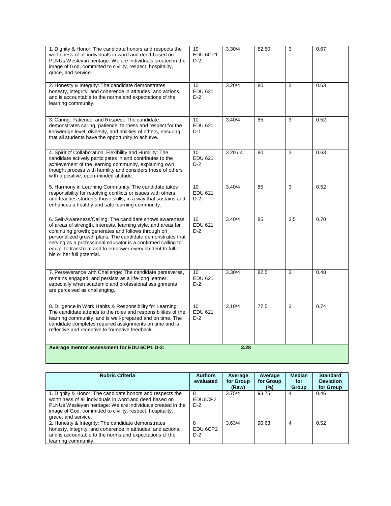| 1. Dignity & Honor: The candidate honors and respects the<br>worthiness of all individuals in word and deed based on<br>PLNUs Wesleyan heritage: We are individuals created in the<br>image of God, committed to civility, respect, hospitality,<br>grace, and service.                                                                                                                                      | 10<br>EDU <sub>6</sub> CP1<br>$D-2$ | 3.30/4 | 82.50 | 3   | 0.67 |
|--------------------------------------------------------------------------------------------------------------------------------------------------------------------------------------------------------------------------------------------------------------------------------------------------------------------------------------------------------------------------------------------------------------|-------------------------------------|--------|-------|-----|------|
| 2. Honesty & Integrity: The candidate demonstrates<br>honesty, integrity, and coherence in attitudes, and actions,<br>and is accountable to the norms and expectations of the<br>learning community.                                                                                                                                                                                                         | 10<br><b>EDU 621</b><br>$D-2$       | 3.20/4 | 80    | 3   | 0.63 |
| 3. Caring, Patience, and Respect: The candidate<br>demonstrates caring, patience, fairness and respect for the<br>knowledge level, diversity, and abilities of others, ensuring<br>that all students have the opportunity to achieve.                                                                                                                                                                        | 10<br><b>EDU 621</b><br>$D-1$       | 3.40/4 | 85    | 3   | 0.52 |
| 4. Spirit of Collaboration, Flexibility and Humility: The<br>candidate actively participates in and contributes to the<br>achievement of the learning community, explaining own<br>thought process with humility and considers those of others<br>with a positive, open-minded attitude.                                                                                                                     | 10<br><b>EDU 621</b><br>$D-2$       | 3.20/4 | 80    | 3   | 0.63 |
| 5. Harmony in Learning Community: The candidate takes<br>responsibility for resolving conflicts or issues with others,<br>and teaches students those skills, in a way that sustains and<br>enhances a healthy and safe learning community.                                                                                                                                                                   | 10<br><b>EDU 621</b><br>$D-2$       | 3.40/4 | 85    | 3   | 0.52 |
| 6. Self-Awareness/Calling: The candidate shows awareness<br>of areas of strength, interests, learning style, and areas for<br>continuing growth; generates and follows through on<br>personalized growth plans. The candidate demonstrates that<br>serving as a professional educator is a confirmed calling to<br>equip, to transform and to empower every student to fulfill<br>his or her full potential. | 10<br><b>EDU 621</b><br>$D-2$       | 3.40/4 | 85    | 3.5 | 0.70 |
| 7. Perseverance with Challenge: The candidate perseveres,<br>remains engaged, and persists as a life-long learner,<br>especially when academic and professional assignments<br>are perceived as challenging.                                                                                                                                                                                                 | 10<br><b>EDU 621</b><br>$D-2$       | 3.30/4 | 82.5  | 3   | 0.48 |
| 8. Diligence in Work Habits & Responsibility for Learning:<br>The candidate attends to the roles and responsibilities of the<br>learning community, and is well-prepared and on time. The<br>candidate completes required assignments on time and is<br>reflective and receptive to formative feedback.                                                                                                      | 10<br><b>EDU 621</b><br>$D-2$       | 3.10/4 | 77.5  | 3   | 0.74 |
| Average mentor assessment for EDU 6CP1 D-2:                                                                                                                                                                                                                                                                                                                                                                  |                                     | 3.28   |       |     |      |
|                                                                                                                                                                                                                                                                                                                                                                                                              |                                     |        |       |     |      |

| <b>Rubric Criteria</b>                                                                                                                                                                                                                                                  | <b>Authors</b><br>evaluated | Average<br>for Group<br>(Raw) | Average<br>for Group<br>$\frac{10}{2}$ | <b>Median</b><br>for<br>Group | <b>Standard</b><br><b>Deviation</b><br>for Group |
|-------------------------------------------------------------------------------------------------------------------------------------------------------------------------------------------------------------------------------------------------------------------------|-----------------------------|-------------------------------|----------------------------------------|-------------------------------|--------------------------------------------------|
| 1. Dignity & Honor: The candidate honors and respects the<br>worthiness of all individuals in word and deed based on<br>PLNUs Wesleyan heritage: We are individuals created in the<br>image of God, committed to civility, respect, hospitality,<br>grace, and service. | 8<br>EDU6CP2<br>$D-2$       | 3.75/4                        | 93.75                                  | 4                             | 0.46                                             |
| 2. Honesty & Integrity: The candidate demonstrates<br>honesty, integrity, and coherence in attitudes, and actions,<br>and is accountable to the norms and expectations of the<br>learning community.                                                                    | 8<br>EDU 6CP2<br>$D-2$      | 3.63/4                        | 90.63                                  | 4                             | 0.52                                             |